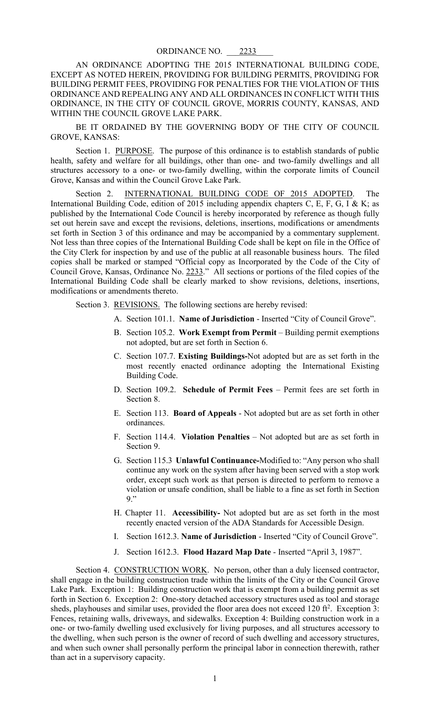AN ORDINANCE ADOPTING THE 2015 INTERNATIONAL BUILDING CODE, EXCEPT AS NOTED HEREIN, PROVIDING FOR BUILDING PERMITS, PROVIDING FOR BUILDING PERMIT FEES, PROVIDING FOR PENALTIES FOR THE VIOLATION OF THIS ORDINANCE AND REPEALING ANY AND ALL ORDINANCES IN CONFLICT WITH THIS ORDINANCE, IN THE CITY OF COUNCIL GROVE, MORRIS COUNTY, KANSAS, AND WITHIN THE COUNCIL GROVE LAKE PARK.

BE IT ORDAINED BY THE GOVERNING BODY OF THE CITY OF COUNCIL GROVE, KANSAS:

Section 1. PURPOSE. The purpose of this ordinance is to establish standards of public health, safety and welfare for all buildings, other than one- and two-family dwellings and all structures accessory to a one- or two-family dwelling, within the corporate limits of Council Grove, Kansas and within the Council Grove Lake Park.

Section 2. INTERNATIONAL BUILDING CODE OF 2015 ADOPTED. The International Building Code, edition of 2015 including appendix chapters C, E, F, G, I & K; as published by the International Code Council is hereby incorporated by reference as though fully set out herein save and except the revisions, deletions, insertions, modifications or amendments set forth in Section 3 of this ordinance and may be accompanied by a commentary supplement. Not less than three copies of the International Building Code shall be kept on file in the Office of the City Clerk for inspection by and use of the public at all reasonable business hours. The filed copies shall be marked or stamped "Official copy as Incorporated by the Code of the City of Council Grove, Kansas, Ordinance No. 2233." All sections or portions of the filed copies of the International Building Code shall be clearly marked to show revisions, deletions, insertions, modifications or amendments thereto.

Section 3. REVISIONS. The following sections are hereby revised:

- A. Section 101.1. **Name of Jurisdiction** Inserted "City of Council Grove".
- B. Section 105.2. **Work Exempt from Permit** Building permit exemptions not adopted, but are set forth in Section 6.
- C. Section 107.7. **Existing Buildings-**Not adopted but are as set forth in the most recently enacted ordinance adopting the International Existing Building Code.
- D. Section 109.2. **Schedule of Permit Fees** Permit fees are set forth in Section 8.
- E. Section 113. **Board of Appeals** Not adopted but are as set forth in other ordinances.
- F. Section 114.4. **Violation Penalties** Not adopted but are as set forth in Section 9.
- G. Section 115.3 **Unlawful Continuance-**Modified to: "Any person who shall continue any work on the system after having been served with a stop work order, except such work as that person is directed to perform to remove a violation or unsafe condition, shall be liable to a fine as set forth in Section 9."
- H. Chapter 11. **Accessibility-** Not adopted but are as set forth in the most recently enacted version of the ADA Standards for Accessible Design.
- I. Section 1612.3. **Name of Jurisdiction** Inserted "City of Council Grove".
- J. Section 1612.3. **Flood Hazard Map Date** Inserted "April 3, 1987".

Section 4. CONSTRUCTION WORK. No person, other than a duly licensed contractor, shall engage in the building construction trade within the limits of the City or the Council Grove Lake Park. Exception 1: Building construction work that is exempt from a building permit as set forth in Section 6. Exception 2: One-story detached accessory structures used as tool and storage sheds, playhouses and similar uses, provided the floor area does not exceed  $120 \text{ ft}^2$ . Exception 3: Fences, retaining walls, driveways, and sidewalks. Exception 4: Building construction work in a one- or two-family dwelling used exclusively for living purposes, and all structures accessory to the dwelling, when such person is the owner of record of such dwelling and accessory structures, and when such owner shall personally perform the principal labor in connection therewith, rather than act in a supervisory capacity.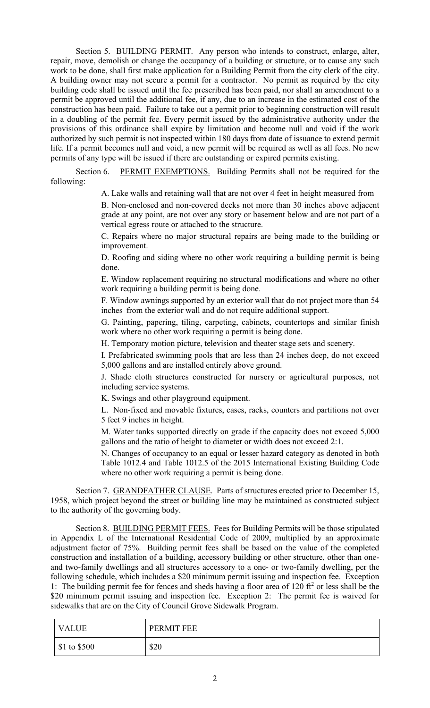Section 5. BUILDING PERMIT. Any person who intends to construct, enlarge, alter, repair, move, demolish or change the occupancy of a building or structure, or to cause any such work to be done, shall first make application for a Building Permit from the city clerk of the city. A building owner may not secure a permit for a contractor. No permit as required by the city building code shall be issued until the fee prescribed has been paid, nor shall an amendment to a permit be approved until the additional fee, if any, due to an increase in the estimated cost of the construction has been paid. Failure to take out a permit prior to beginning construction will result in a doubling of the permit fee. Every permit issued by the administrative authority under the provisions of this ordinance shall expire by limitation and become null and void if the work authorized by such permit is not inspected within 180 days from date of issuance to extend permit life. If a permit becomes null and void, a new permit will be required as well as all fees. No new permits of any type will be issued if there are outstanding or expired permits existing.

Section 6. PERMIT EXEMPTIONS. Building Permits shall not be required for the following:

A. Lake walls and retaining wall that are not over 4 feet in height measured from

 B. Non-enclosed and non-covered decks not more than 30 inches above adjacent grade at any point, are not over any story or basement below and are not part of a vertical egress route or attached to the structure.

C. Repairs where no major structural repairs are being made to the building or improvement.

D. Roofing and siding where no other work requiring a building permit is being done.

E. Window replacement requiring no structural modifications and where no other work requiring a building permit is being done.

F. Window awnings supported by an exterior wall that do not project more than 54 inches from the exterior wall and do not require additional support.

G. Painting, papering, tiling, carpeting, cabinets, countertops and similar finish work where no other work requiring a permit is being done.

H. Temporary motion picture, television and theater stage sets and scenery.

I. Prefabricated swimming pools that are less than 24 inches deep, do not exceed 5,000 gallons and are installed entirely above ground.

J. Shade cloth structures constructed for nursery or agricultural purposes, not including service systems.

K. Swings and other playground equipment.

L. Non-fixed and movable fixtures, cases, racks, counters and partitions not over 5 feet 9 inches in height.

M. Water tanks supported directly on grade if the capacity does not exceed 5,000 gallons and the ratio of height to diameter or width does not exceed 2:1.

N. Changes of occupancy to an equal or lesser hazard category as denoted in both Table 1012.4 and Table 1012.5 of the 2015 International Existing Building Code where no other work requiring a permit is being done.

Section 7. GRANDFATHER CLAUSE. Parts of structures erected prior to December 15, 1958, which project beyond the street or building line may be maintained as constructed subject to the authority of the governing body.

Section 8. BUILDING PERMIT FEES. Fees for Building Permits will be those stipulated in Appendix L of the International Residential Code of 2009, multiplied by an approximate adjustment factor of 75%. Building permit fees shall be based on the value of the completed construction and installation of a building, accessory building or other structure, other than oneand two-family dwellings and all structures accessory to a one- or two-family dwelling, per the following schedule, which includes a \$20 minimum permit issuing and inspection fee. Exception 1: The building permit fee for fences and sheds having a floor area of 120 ft<sup>2</sup> or less shall be the \$20 minimum permit issuing and inspection fee. Exception 2: The permit fee is waived for sidewalks that are on the City of Council Grove Sidewalk Program.

| <b>VALUE</b>         | PERMIT FEE |
|----------------------|------------|
| $\vert$ \$1 to \$500 | \$20       |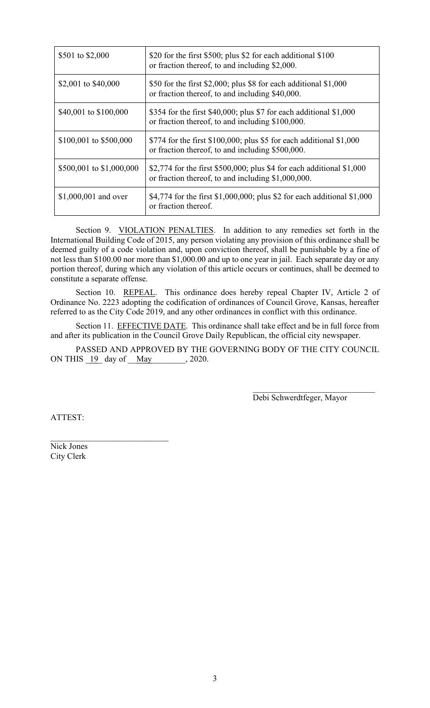| \$501 to \$2,000         | \$20 for the first \$500; plus \$2 for each additional \$100<br>or fraction thereof, to and including \$2,000.               |
|--------------------------|------------------------------------------------------------------------------------------------------------------------------|
| \$2,001 to \$40,000      | \$50 for the first \$2,000; plus \$8 for each additional $$1,000$<br>or fraction thereof, to and including \$40,000.         |
| \$40,001 to \$100,000    | \$354 for the first \$40,000; plus \$7 for each additional $$1,000$<br>or fraction thereof, to and including \$100,000.      |
| \$100,001 to \$500,000   | \$774 for the first \$100,000; plus \$5 for each additional $$1,000$<br>or fraction thereof, to and including \$500,000.     |
| \$500,001 to \$1,000,000 | \$2,774 for the first \$500,000; plus \$4 for each additional $$1,000$<br>or fraction thereof, to and including \$1,000,000. |
| \$1,000,001 and over     | \$4,774 for the first \$1,000,000; plus \$2 for each additional \$1,000<br>or fraction thereof.                              |

Section 9. VIOLATION PENALTIES. In addition to any remedies set forth in the International Building Code of 2015, any person violating any provision of this ordinance shall be deemed guilty of a code violation and, upon conviction thereof, shall be punishable by a fine of not less than \$100.00 nor more than \$1,000.00 and up to one year in jail. Each separate day or any portion thereof, during which any violation of this article occurs or continues, shall be deemed to constitute a separate offense.

Section 10. REPEAL. This ordinance does hereby repeal Chapter IV, Article 2 of Ordinance No. 2223 adopting the codification of ordinances of Council Grove, Kansas, hereafter referred to as the City Code 2019, and any other ordinances in conflict with this ordinance.

Section 11. EFFECTIVE DATE. This ordinance shall take effect and be in full force from and after its publication in the Council Grove Daily Republican, the official city newspaper.

PASSED AND APPROVED BY THE GOVERNING BODY OF THE CITY COUNCIL ON THIS  $\underline{19}$  day of  $\underline{May}$ , 2020.

> $\mathcal{L}_\mathcal{L}$  , which is a set of the set of the set of the set of the set of the set of the set of the set of the set of the set of the set of the set of the set of the set of the set of the set of the set of the set of Debi Schwerdtfeger, Mayor

ATTEST:

Nick Jones City Clerk

 $\mathcal{L}_\mathcal{L}$  , which is a set of the set of the set of the set of the set of the set of the set of the set of the set of the set of the set of the set of the set of the set of the set of the set of the set of the set of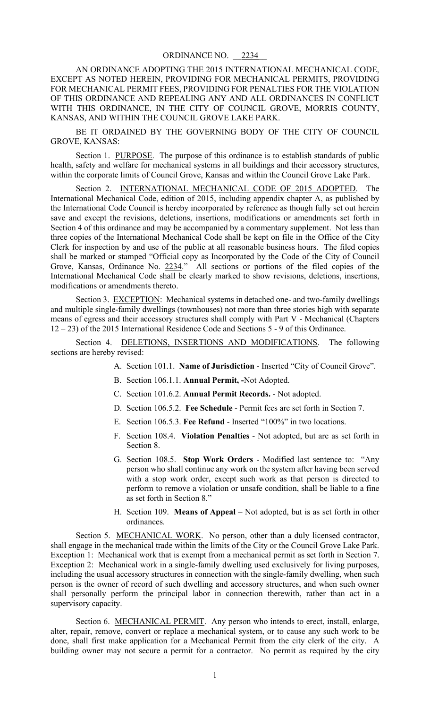AN ORDINANCE ADOPTING THE 2015 INTERNATIONAL MECHANICAL CODE, EXCEPT AS NOTED HEREIN, PROVIDING FOR MECHANICAL PERMITS, PROVIDING FOR MECHANICAL PERMIT FEES, PROVIDING FOR PENALTIES FOR THE VIOLATION OF THIS ORDINANCE AND REPEALING ANY AND ALL ORDINANCES IN CONFLICT WITH THIS ORDINANCE, IN THE CITY OF COUNCIL GROVE, MORRIS COUNTY, KANSAS, AND WITHIN THE COUNCIL GROVE LAKE PARK.

BE IT ORDAINED BY THE GOVERNING BODY OF THE CITY OF COUNCIL GROVE, KANSAS:

Section 1. PURPOSE. The purpose of this ordinance is to establish standards of public health, safety and welfare for mechanical systems in all buildings and their accessory structures, within the corporate limits of Council Grove, Kansas and within the Council Grove Lake Park.

Section 2. INTERNATIONAL MECHANICAL CODE OF 2015 ADOPTED. The International Mechanical Code, edition of 2015, including appendix chapter A, as published by the International Code Council is hereby incorporated by reference as though fully set out herein save and except the revisions, deletions, insertions, modifications or amendments set forth in Section 4 of this ordinance and may be accompanied by a commentary supplement. Not less than three copies of the International Mechanical Code shall be kept on file in the Office of the City Clerk for inspection by and use of the public at all reasonable business hours. The filed copies shall be marked or stamped "Official copy as Incorporated by the Code of the City of Council Grove, Kansas, Ordinance No. 2234." All sections or portions of the filed copies of the International Mechanical Code shall be clearly marked to show revisions, deletions, insertions, modifications or amendments thereto.

Section 3. EXCEPTION: Mechanical systems in detached one- and two-family dwellings and multiple single-family dwellings (townhouses) not more than three stories high with separate means of egress and their accessory structures shall comply with Part V - Mechanical (Chapters 12 – 23) of the 2015 International Residence Code and Sections 5 - 9 of this Ordinance.

Section 4. DELETIONS, INSERTIONS AND MODIFICATIONS. The following sections are hereby revised:

- A. Section 101.1. **Name of Jurisdiction** Inserted "City of Council Grove".
- B. Section 106.1.1. **Annual Permit, -**Not Adopted.
- C. Section 101.6.2. **Annual Permit Records.** Not adopted.
- D. Section 106.5.2. **Fee Schedule** Permit fees are set forth in Section 7.
- E. Section 106.5.3. **Fee Refund** Inserted "100%" in two locations.
- F. Section 108.4. **Violation Penalties** Not adopted, but are as set forth in Section 8.
- G. Section 108.5. **Stop Work Orders** Modified last sentence to: "Any person who shall continue any work on the system after having been served with a stop work order, except such work as that person is directed to perform to remove a violation or unsafe condition, shall be liable to a fine as set forth in Section 8."
- H. Section 109. **Means of Appeal** Not adopted, but is as set forth in other ordinances.

Section 5. MECHANICAL WORK. No person, other than a duly licensed contractor, shall engage in the mechanical trade within the limits of the City or the Council Grove Lake Park. Exception 1: Mechanical work that is exempt from a mechanical permit as set forth in Section 7. Exception 2: Mechanical work in a single-family dwelling used exclusively for living purposes, including the usual accessory structures in connection with the single-family dwelling, when such person is the owner of record of such dwelling and accessory structures, and when such owner shall personally perform the principal labor in connection therewith, rather than act in a supervisory capacity.

Section 6. MECHANICAL PERMIT. Any person who intends to erect, install, enlarge, alter, repair, remove, convert or replace a mechanical system, or to cause any such work to be done, shall first make application for a Mechanical Permit from the city clerk of the city. A building owner may not secure a permit for a contractor. No permit as required by the city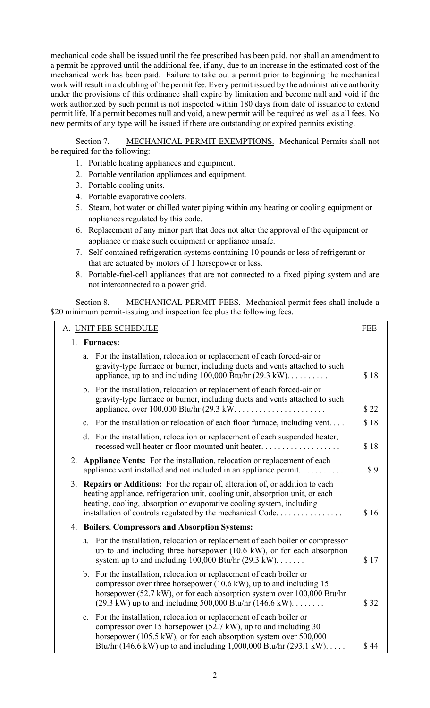mechanical code shall be issued until the fee prescribed has been paid, nor shall an amendment to a permit be approved until the additional fee, if any, due to an increase in the estimated cost of the mechanical work has been paid. Failure to take out a permit prior to beginning the mechanical work will result in a doubling of the permit fee. Every permit issued by the administrative authority under the provisions of this ordinance shall expire by limitation and become null and void if the work authorized by such permit is not inspected within 180 days from date of issuance to extend permit life. If a permit becomes null and void, a new permit will be required as well as all fees. No new permits of any type will be issued if there are outstanding or expired permits existing.

Section 7. MECHANICAL PERMIT EXEMPTIONS. Mechanical Permits shall not be required for the following:

- 1. Portable heating appliances and equipment.
- 2. Portable ventilation appliances and equipment.
- 3. Portable cooling units.
- 4. Portable evaporative coolers.
- 5. Steam, hot water or chilled water piping within any heating or cooling equipment or appliances regulated by this code.
- 6. Replacement of any minor part that does not alter the approval of the equipment or appliance or make such equipment or appliance unsafe.
- 7. Self-contained refrigeration systems containing 10 pounds or less of refrigerant or that are actuated by motors of 1 horsepower or less.
- 8. Portable-fuel-cell appliances that are not connected to a fixed piping system and are not interconnected to a power grid.

Section 8. MECHANICAL PERMIT FEES. Mechanical permit fees shall include a \$20 minimum permit-issuing and inspection fee plus the following fees.

| A. UNIT FEE SCHEDULE |                |                                                                                                                                                                                                                                                                                                                 | <b>FEE</b> |
|----------------------|----------------|-----------------------------------------------------------------------------------------------------------------------------------------------------------------------------------------------------------------------------------------------------------------------------------------------------------------|------------|
| 1. Furnaces:         |                |                                                                                                                                                                                                                                                                                                                 |            |
|                      |                | a. For the installation, relocation or replacement of each forced-air or<br>gravity-type furnace or burner, including ducts and vents attached to such<br>appliance, up to and including $100,000$ Btu/hr $(29.3 \text{ kW})$                                                                                   | \$18       |
|                      |                | b. For the installation, relocation or replacement of each forced-air or<br>gravity-type furnace or burner, including ducts and vents attached to such                                                                                                                                                          | \$22       |
|                      | $\mathbf{c}$ . | For the installation or relocation of each floor furnace, including vent                                                                                                                                                                                                                                        | \$18       |
|                      |                | d. For the installation, relocation or replacement of each suspended heater,<br>recessed wall heater or floor-mounted unit heater                                                                                                                                                                               | \$18       |
| 2.                   |                | Appliance Vents: For the installation, relocation or replacement of each<br>appliance vent installed and not included in an appliance permit                                                                                                                                                                    | \$9        |
|                      |                | 3. Repairs or Additions: For the repair of, alteration of, or addition to each<br>heating appliance, refrigeration unit, cooling unit, absorption unit, or each<br>heating, cooling, absorption or evaporative cooling system, including<br>installation of controls regulated by the mechanical Code.          | \$16       |
|                      |                | 4. Boilers, Compressors and Absorption Systems:                                                                                                                                                                                                                                                                 |            |
|                      | a.             | For the installation, relocation or replacement of each boiler or compressor<br>up to and including three horsepower (10.6 kW), or for each absorption<br>system up to and including $100,000$ Btu/hr $(29.3 \text{ kW})$                                                                                       | \$17       |
|                      |                | b. For the installation, relocation or replacement of each boiler or<br>compressor over three horsepower $(10.6 \text{ kW})$ , up to and including 15<br>horsepower (52.7 kW), or for each absorption system over 100,000 Btu/hr<br>$(29.3 \text{ kW})$ up to and including 500,000 Btu/hr $(146.6 \text{ kW})$ | \$32       |
|                      | $c_{\cdot}$    | For the installation, relocation or replacement of each boiler or<br>compressor over 15 horsepower (52.7 kW), up to and including 30<br>horsepower (105.5 kW), or for each absorption system over 500,000<br>Btu/hr (146.6 kW) up to and including 1,000,000 Btu/hr (293.1 kW)                                  | \$44       |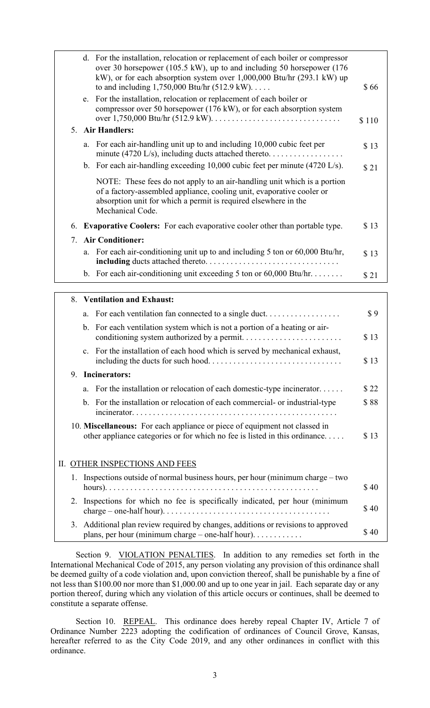|    |    | d. For the installation, relocation or replacement of each boiler or compressor<br>over 30 horsepower (105.5 kW), up to and including 50 horsepower (176<br>kW), or for each absorption system over $1,000,000$ Btu/hr $(293.1 \text{ kW})$ up<br>to and including $1,750,000$ Btu/hr $(512.9 \text{ kW})$<br>e. For the installation, relocation or replacement of each boiler or<br>compressor over 50 horsepower (176 kW), or for each absorption system | \$66  |
|----|----|-------------------------------------------------------------------------------------------------------------------------------------------------------------------------------------------------------------------------------------------------------------------------------------------------------------------------------------------------------------------------------------------------------------------------------------------------------------|-------|
|    |    |                                                                                                                                                                                                                                                                                                                                                                                                                                                             | \$110 |
| 5. |    | <b>Air Handlers:</b>                                                                                                                                                                                                                                                                                                                                                                                                                                        |       |
|    | a. | For each air-handling unit up to and including 10,000 cubic feet per<br>minute (4720 L/s), including ducts attached thereto. $\dots \dots \dots \dots \dots$                                                                                                                                                                                                                                                                                                | \$13  |
|    |    | b. For each air-handling exceeding $10,000$ cubic feet per minute (4720 L/s).                                                                                                                                                                                                                                                                                                                                                                               | \$21  |
|    |    | NOTE: These fees do not apply to an air-handling unit which is a portion<br>of a factory-assembled appliance, cooling unit, evaporative cooler or<br>absorption unit for which a permit is required elsewhere in the<br>Mechanical Code.                                                                                                                                                                                                                    |       |
| 6. |    | <b>Evaporative Coolers:</b> For each evaporative cooler other than portable type.                                                                                                                                                                                                                                                                                                                                                                           | \$13  |
| 7. |    | <b>Air Conditioner:</b>                                                                                                                                                                                                                                                                                                                                                                                                                                     |       |
|    | a. | For each air-conditioning unit up to and including 5 ton or 60,000 Btu/hr,                                                                                                                                                                                                                                                                                                                                                                                  | \$13  |
|    |    | b. For each air-conditioning unit exceeding 5 ton or $60,000$ Btu/hr                                                                                                                                                                                                                                                                                                                                                                                        | \$21  |
|    |    | 8. Ventilation and Exhaust:                                                                                                                                                                                                                                                                                                                                                                                                                                 |       |

|    | a.             | For each ventilation fan connected to a single duct                                                                                                      | \$9  |
|----|----------------|----------------------------------------------------------------------------------------------------------------------------------------------------------|------|
|    |                | b. For each ventilation system which is not a portion of a heating or air-                                                                               | \$13 |
|    | $\mathbf{c}$ . | For the installation of each hood which is served by mechanical exhaust,                                                                                 | \$13 |
|    |                | 9. Incinerators:                                                                                                                                         |      |
|    | a.             | For the installation or relocation of each domestic-type incinerator                                                                                     | \$22 |
|    |                | b. For the installation or relocation of each commercial- or industrial-type                                                                             | \$88 |
|    |                | 10. Miscellaneous: For each appliance or piece of equipment not classed in<br>other appliance categories or for which no fee is listed in this ordinance | \$13 |
|    |                | <b>II. OTHER INSPECTIONS AND FEES</b>                                                                                                                    |      |
| 1. |                | Inspections outside of normal business hours, per hour (minimum charge – two                                                                             | \$40 |
| 2. |                | Inspections for which no fee is specifically indicated, per hour (minimum                                                                                | \$40 |
| 3. |                | Additional plan review required by changes, additions or revisions to approved<br>plans, per hour (minimum charge – one-half hour). $\dots$              | \$40 |

Section 9. VIOLATION PENALTIES. In addition to any remedies set forth in the International Mechanical Code of 2015, any person violating any provision of this ordinance shall be deemed guilty of a code violation and, upon conviction thereof, shall be punishable by a fine of not less than \$100.00 nor more than \$1,000.00 and up to one year in jail. Each separate day or any portion thereof, during which any violation of this article occurs or continues, shall be deemed to constitute a separate offense.

Section 10. REPEAL. This ordinance does hereby repeal Chapter IV, Article 7 of Ordinance Number 2223 adopting the codification of ordinances of Council Grove, Kansas, hereafter referred to as the City Code 2019, and any other ordinances in conflict with this ordinance.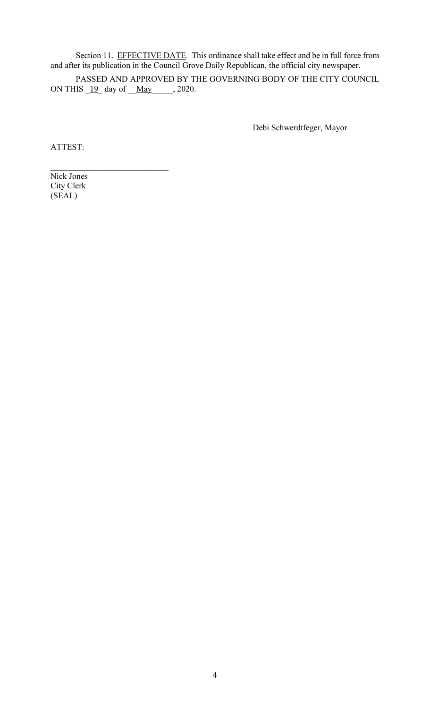Section 11. EFFECTIVE DATE. This ordinance shall take effect and be in full force from and after its publication in the Council Grove Daily Republican, the official city newspaper.

PASSED AND APPROVED BY THE GOVERNING BODY OF THE CITY COUNCIL ON THIS  $19$  day of  $\text{May}$ , 2020.

Debi Schwerdtfeger, Mayor

 $\mathcal{L}_\text{max}$  , where  $\mathcal{L}_\text{max}$  and  $\mathcal{L}_\text{max}$ 

ATTEST:

Nick Jones City Clerk (SEAL)

 $\mathcal{L}_\text{max}$  , where  $\mathcal{L}_\text{max}$  and  $\mathcal{L}_\text{max}$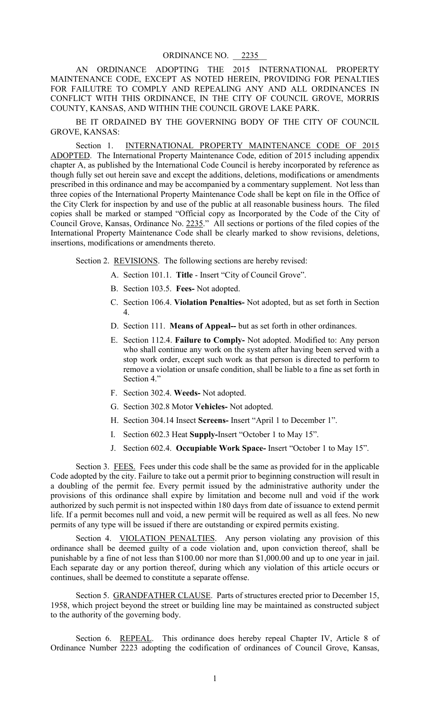AN ORDINANCE ADOPTING THE 2015 INTERNATIONAL PROPERTY MAINTENANCE CODE, EXCEPT AS NOTED HEREIN, PROVIDING FOR PENALTIES FOR FAILUTRE TO COMPLY AND REPEALING ANY AND ALL ORDINANCES IN CONFLICT WITH THIS ORDINANCE, IN THE CITY OF COUNCIL GROVE, MORRIS COUNTY, KANSAS, AND WITHIN THE COUNCIL GROVE LAKE PARK.

BE IT ORDAINED BY THE GOVERNING BODY OF THE CITY OF COUNCIL GROVE, KANSAS:

Section 1. INTERNATIONAL PROPERTY MAINTENANCE CODE OF 2015 ADOPTED. The International Property Maintenance Code, edition of 2015 including appendix chapter A, as published by the International Code Council is hereby incorporated by reference as though fully set out herein save and except the additions, deletions, modifications or amendments prescribed in this ordinance and may be accompanied by a commentary supplement. Not less than three copies of the International Property Maintenance Code shall be kept on file in the Office of the City Clerk for inspection by and use of the public at all reasonable business hours. The filed copies shall be marked or stamped "Official copy as Incorporated by the Code of the City of Council Grove, Kansas, Ordinance No. 2235." All sections or portions of the filed copies of the International Property Maintenance Code shall be clearly marked to show revisions, deletions, insertions, modifications or amendments thereto.

Section 2. REVISIONS. The following sections are hereby revised:

- A. Section 101.1. **Title** Insert "City of Council Grove".
- B. Section 103.5. **Fees-** Not adopted.
- C. Section 106.4. **Violation Penalties-** Not adopted, but as set forth in Section 4.
- D. Section 111. **Means of Appeal--** but as set forth in other ordinances.
- E. Section 112.4. **Failure to Comply-** Not adopted. Modified to: Any person who shall continue any work on the system after having been served with a stop work order, except such work as that person is directed to perform to remove a violation or unsafe condition, shall be liable to a fine as set forth in Section 4."
- F. Section 302.4. **Weeds-** Not adopted.
- G. Section 302.8 Motor **Vehicles-** Not adopted.
- H. Section 304.14 Insect **Screens-** Insert "April 1 to December 1".
- I. Section 602.3 Heat **Supply-**Insert "October 1 to May 15".
- J. Section 602.4. **Occupiable Work Space-** Insert "October 1 to May 15".

Section 3. FEES. Fees under this code shall be the same as provided for in the applicable Code adopted by the city. Failure to take out a permit prior to beginning construction will result in a doubling of the permit fee. Every permit issued by the administrative authority under the provisions of this ordinance shall expire by limitation and become null and void if the work authorized by such permit is not inspected within 180 days from date of issuance to extend permit life. If a permit becomes null and void, a new permit will be required as well as all fees. No new permits of any type will be issued if there are outstanding or expired permits existing.

Section 4. VIOLATION PENALTIES. Any person violating any provision of this ordinance shall be deemed guilty of a code violation and, upon conviction thereof, shall be punishable by a fine of not less than \$100.00 nor more than \$1,000.00 and up to one year in jail. Each separate day or any portion thereof, during which any violation of this article occurs or continues, shall be deemed to constitute a separate offense.

Section 5. GRANDFATHER CLAUSE. Parts of structures erected prior to December 15, 1958, which project beyond the street or building line may be maintained as constructed subject to the authority of the governing body.

Section 6. REPEAL. This ordinance does hereby repeal Chapter IV, Article 8 of Ordinance Number 2223 adopting the codification of ordinances of Council Grove, Kansas,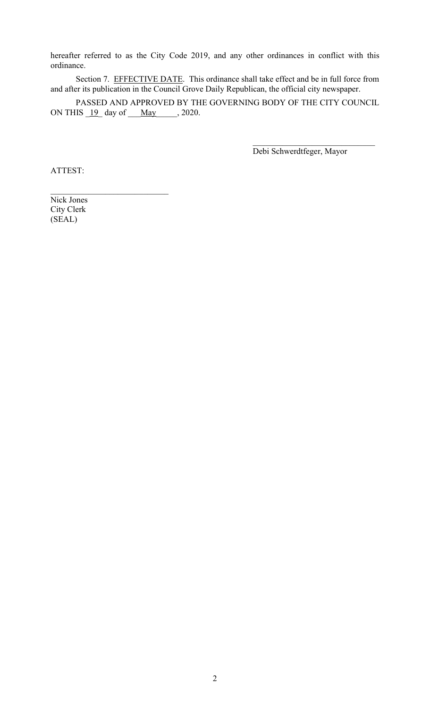hereafter referred to as the City Code 2019, and any other ordinances in conflict with this ordinance.

Section 7. EFFECTIVE DATE. This ordinance shall take effect and be in full force from and after its publication in the Council Grove Daily Republican, the official city newspaper.

PASSED AND APPROVED BY THE GOVERNING BODY OF THE CITY COUNCIL ON THIS  $19$  day of  $\text{May}$  , 2020.

Debi Schwerdtfeger, Mayor

 $\mathcal{L}_\mathcal{L}$  , which is a set of the set of the set of the set of the set of the set of the set of the set of the set of the set of the set of the set of the set of the set of the set of the set of the set of the set of

ATTEST:

Nick Jones City Clerk (SEAL)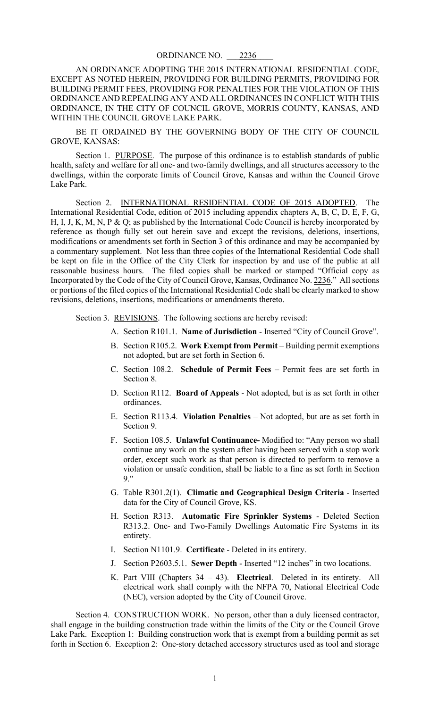AN ORDINANCE ADOPTING THE 2015 INTERNATIONAL RESIDENTIAL CODE, EXCEPT AS NOTED HEREIN, PROVIDING FOR BUILDING PERMITS, PROVIDING FOR BUILDING PERMIT FEES, PROVIDING FOR PENALTIES FOR THE VIOLATION OF THIS ORDINANCE AND REPEALING ANY AND ALL ORDINANCES IN CONFLICT WITH THIS ORDINANCE, IN THE CITY OF COUNCIL GROVE, MORRIS COUNTY, KANSAS, AND WITHIN THE COUNCIL GROVE LAKE PARK.

BE IT ORDAINED BY THE GOVERNING BODY OF THE CITY OF COUNCIL GROVE, KANSAS:

Section 1. PURPOSE. The purpose of this ordinance is to establish standards of public health, safety and welfare for all one- and two-family dwellings, and all structures accessory to the dwellings, within the corporate limits of Council Grove, Kansas and within the Council Grove Lake Park.

Section 2. INTERNATIONAL RESIDENTIAL CODE OF 2015 ADOPTED. The International Residential Code, edition of 2015 including appendix chapters A, B, C, D, E, F, G, H, I, J, K, M, N, P & Q; as published by the International Code Council is hereby incorporated by reference as though fully set out herein save and except the revisions, deletions, insertions, modifications or amendments set forth in Section 3 of this ordinance and may be accompanied by a commentary supplement. Not less than three copies of the International Residential Code shall be kept on file in the Office of the City Clerk for inspection by and use of the public at all reasonable business hours. The filed copies shall be marked or stamped "Official copy as Incorporated by the Code of the City of Council Grove, Kansas, Ordinance No. 2236." All sections or portions of the filed copies of the International Residential Code shall be clearly marked to show revisions, deletions, insertions, modifications or amendments thereto.

Section 3. REVISIONS. The following sections are hereby revised:

- A. Section R101.1. **Name of Jurisdiction** Inserted "City of Council Grove".
- B. Section R105.2. **Work Exempt from Permit** Building permit exemptions not adopted, but are set forth in Section 6.
- C. Section 108.2. **Schedule of Permit Fees** Permit fees are set forth in Section 8.
- D. Section R112. **Board of Appeals** Not adopted, but is as set forth in other ordinances.
- E. Section R113.4. **Violation Penalties** Not adopted, but are as set forth in Section 9.
- F. Section 108.5. **Unlawful Continuance-** Modified to: "Any person wo shall continue any work on the system after having been served with a stop work order, except such work as that person is directed to perform to remove a violation or unsafe condition, shall be liable to a fine as set forth in Section 9."
- G. Table R301.2(1). **Climatic and Geographical Design Criteria** Inserted data for the City of Council Grove, KS.
- H. Section R313. **Automatic Fire Sprinkler Systems** Deleted Section R313.2. One- and Two-Family Dwellings Automatic Fire Systems in its entirety.
- I. Section N1101.9. **Certificate** Deleted in its entirety.
- J. Section P2603.5.1. **Sewer Depth** Inserted "12 inches" in two locations.
- K. Part VIII (Chapters 34 43). **Electrical**. Deleted in its entirety. All electrical work shall comply with the NFPA 70, National Electrical Code (NEC), version adopted by the City of Council Grove.

Section 4. CONSTRUCTION WORK. No person, other than a duly licensed contractor, shall engage in the building construction trade within the limits of the City or the Council Grove Lake Park. Exception 1: Building construction work that is exempt from a building permit as set forth in Section 6. Exception 2: One-story detached accessory structures used as tool and storage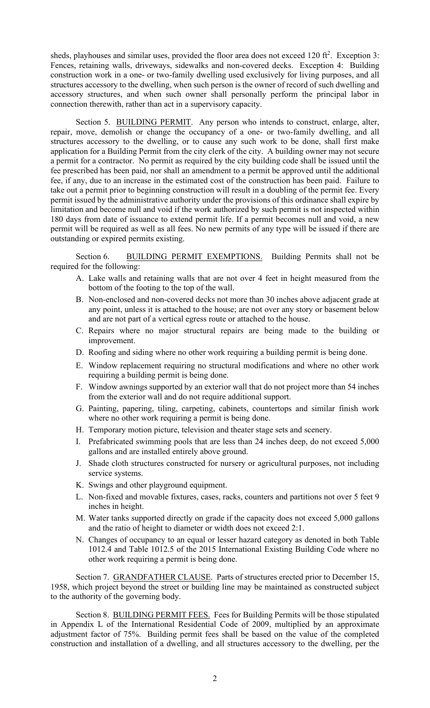sheds, playhouses and similar uses, provided the floor area does not exceed  $120 \text{ ft}^2$ . Exception 3: Fences, retaining walls, driveways, sidewalks and non-covered decks. Exception 4: Building construction work in a one- or two-family dwelling used exclusively for living purposes, and all structures accessory to the dwelling, when such person is the owner of record of such dwelling and accessory structures, and when such owner shall personally perform the principal labor in connection therewith, rather than act in a supervisory capacity.

Section 5. BUILDING PERMIT. Any person who intends to construct, enlarge, alter, repair, move, demolish or change the occupancy of a one- or two-family dwelling, and all structures accessory to the dwelling, or to cause any such work to be done, shall first make application for a Building Permit from the city clerk of the city. A building owner may not secure a permit for a contractor. No permit as required by the city building code shall be issued until the fee prescribed has been paid, nor shall an amendment to a permit be approved until the additional fee, if any, due to an increase in the estimated cost of the construction has been paid. Failure to take out a permit prior to beginning construction will result in a doubling of the permit fee. Every permit issued by the administrative authority under the provisions of this ordinance shall expire by limitation and become null and void if the work authorized by such permit is not inspected within 180 days from date of issuance to extend permit life. If a permit becomes null and void, a new permit will be required as well as all fees. No new permits of any type will be issued if there are outstanding or expired permits existing.

Section 6. BUILDING PERMIT EXEMPTIONS. Building Permits shall not be required for the following:

- A. Lake walls and retaining walls that are not over 4 feet in height measured from the bottom of the footing to the top of the wall.
- B. Non-enclosed and non-covered decks not more than 30 inches above adjacent grade at any point, unless it is attached to the house; are not over any story or basement below and are not part of a vertical egress route or attached to the house.
- C. Repairs where no major structural repairs are being made to the building or improvement.
- D. Roofing and siding where no other work requiring a building permit is being done.
- E. Window replacement requiring no structural modifications and where no other work requiring a building permit is being done.
- F. Window awnings supported by an exterior wall that do not project more than 54 inches from the exterior wall and do not require additional support.
- G. Painting, papering, tiling, carpeting, cabinets, countertops and similar finish work where no other work requiring a permit is being done.
- H. Temporary motion picture, television and theater stage sets and scenery.
- I. Prefabricated swimming pools that are less than 24 inches deep, do not exceed 5,000 gallons and are installed entirely above ground.
- J. Shade cloth structures constructed for nursery or agricultural purposes, not including service systems.
- K. Swings and other playground equipment.
- L. Non-fixed and movable fixtures, cases, racks, counters and partitions not over 5 feet 9 inches in height.
- M. Water tanks supported directly on grade if the capacity does not exceed 5,000 gallons and the ratio of height to diameter or width does not exceed 2:1.
- N. Changes of occupancy to an equal or lesser hazard category as denoted in both Table 1012.4 and Table 1012.5 of the 2015 International Existing Building Code where no other work requiring a permit is being done.

Section 7. GRANDFATHER CLAUSE. Parts of structures erected prior to December 15, 1958, which project beyond the street or building line may be maintained as constructed subject to the authority of the governing body.

Section 8. BUILDING PERMIT FEES. Fees for Building Permits will be those stipulated in Appendix L of the International Residential Code of 2009, multiplied by an approximate adjustment factor of 75%. Building permit fees shall be based on the value of the completed construction and installation of a dwelling, and all structures accessory to the dwelling, per the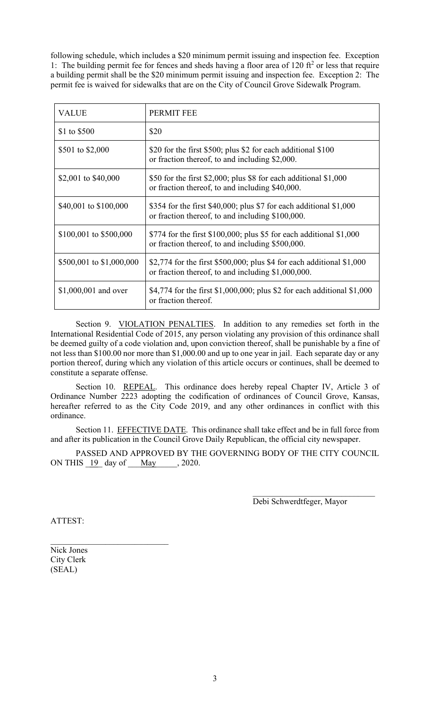following schedule, which includes a \$20 minimum permit issuing and inspection fee. Exception 1: The building permit fee for fences and sheds having a floor area of 120  $ft<sup>2</sup>$  or less that require a building permit shall be the \$20 minimum permit issuing and inspection fee. Exception 2: The permit fee is waived for sidewalks that are on the City of Council Grove Sidewalk Program.

| <b>VALUE</b>             | PERMIT FEE                                                                                                                   |
|--------------------------|------------------------------------------------------------------------------------------------------------------------------|
| \$1 to \$500             | \$20                                                                                                                         |
| \$501 to \$2,000         | \$20 for the first \$500; plus \$2 for each additional \$100<br>or fraction thereof, to and including \$2,000.               |
| \$2,001 to \$40,000      | \$50 for the first \$2,000; plus \$8 for each additional $$1,000$<br>or fraction thereof, to and including \$40,000.         |
| \$40,001 to \$100,000    | \$354 for the first \$40,000; plus \$7 for each additional $$1,000$<br>or fraction thereof, to and including \$100,000.      |
| \$100,001 to \$500,000   | \$774 for the first \$100,000; plus \$5 for each additional \$1,000<br>or fraction thereof, to and including \$500,000.      |
| \$500,001 to \$1,000,000 | \$2,774 for the first \$500,000; plus \$4 for each additional $$1,000$<br>or fraction thereof, to and including \$1,000,000. |
| $$1,000,001$ and over    | \$4,774 for the first \$1,000,000; plus \$2 for each additional $$1,000$<br>or fraction thereof.                             |

Section 9. VIOLATION PENALTIES. In addition to any remedies set forth in the International Residential Code of 2015, any person violating any provision of this ordinance shall be deemed guilty of a code violation and, upon conviction thereof, shall be punishable by a fine of not less than \$100.00 nor more than \$1,000.00 and up to one year in jail. Each separate day or any portion thereof, during which any violation of this article occurs or continues, shall be deemed to constitute a separate offense.

Section 10. REPEAL. This ordinance does hereby repeal Chapter IV, Article 3 of Ordinance Number 2223 adopting the codification of ordinances of Council Grove, Kansas, hereafter referred to as the City Code 2019, and any other ordinances in conflict with this ordinance.

Section 11. EFFECTIVE DATE. This ordinance shall take effect and be in full force from and after its publication in the Council Grove Daily Republican, the official city newspaper.

PASSED AND APPROVED BY THE GOVERNING BODY OF THE CITY COUNCIL ON THIS <u>19</u> day of <u>May</u>, 2020.

Debi Schwerdtfeger, Mayor

 $\mathcal{L}_\mathcal{L}$  , which is a set of the set of the set of the set of the set of the set of the set of the set of the set of the set of the set of the set of the set of the set of the set of the set of the set of the set of

ATTEST:

Nick Jones City Clerk (SEAL)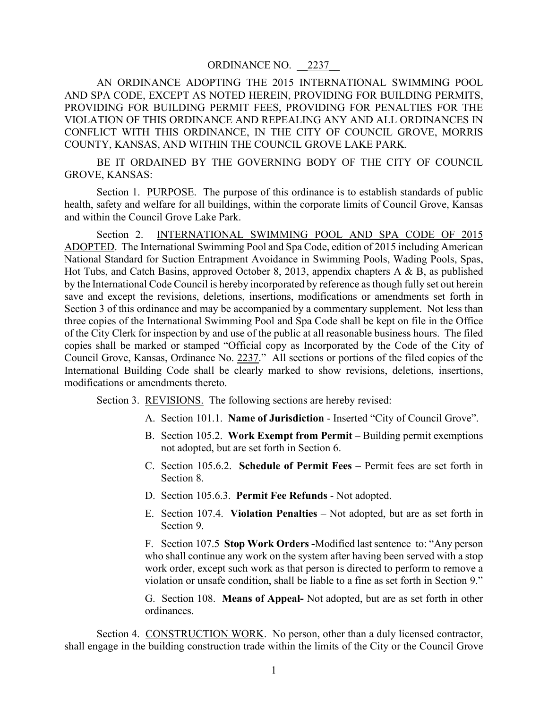AN ORDINANCE ADOPTING THE 2015 INTERNATIONAL SWIMMING POOL AND SPA CODE, EXCEPT AS NOTED HEREIN, PROVIDING FOR BUILDING PERMITS, PROVIDING FOR BUILDING PERMIT FEES, PROVIDING FOR PENALTIES FOR THE VIOLATION OF THIS ORDINANCE AND REPEALING ANY AND ALL ORDINANCES IN CONFLICT WITH THIS ORDINANCE, IN THE CITY OF COUNCIL GROVE, MORRIS COUNTY, KANSAS, AND WITHIN THE COUNCIL GROVE LAKE PARK.

BE IT ORDAINED BY THE GOVERNING BODY OF THE CITY OF COUNCIL GROVE, KANSAS:

Section 1. PURPOSE. The purpose of this ordinance is to establish standards of public health, safety and welfare for all buildings, within the corporate limits of Council Grove, Kansas and within the Council Grove Lake Park.

Section 2. INTERNATIONAL SWIMMING POOL AND SPA CODE OF 2015 ADOPTED. The International Swimming Pool and Spa Code, edition of 2015 including American National Standard for Suction Entrapment Avoidance in Swimming Pools, Wading Pools, Spas, Hot Tubs, and Catch Basins, approved October 8, 2013, appendix chapters A & B, as published by the International Code Council is hereby incorporated by reference as though fully set out herein save and except the revisions, deletions, insertions, modifications or amendments set forth in Section 3 of this ordinance and may be accompanied by a commentary supplement. Not less than three copies of the International Swimming Pool and Spa Code shall be kept on file in the Office of the City Clerk for inspection by and use of the public at all reasonable business hours. The filed copies shall be marked or stamped "Official copy as Incorporated by the Code of the City of Council Grove, Kansas, Ordinance No. 2237." All sections or portions of the filed copies of the International Building Code shall be clearly marked to show revisions, deletions, insertions, modifications or amendments thereto.

Section 3. REVISIONS. The following sections are hereby revised:

- A. Section 101.1. **Name of Jurisdiction** Inserted "City of Council Grove".
- B. Section 105.2. **Work Exempt from Permit** Building permit exemptions not adopted, but are set forth in Section 6.
- C. Section 105.6.2. **Schedule of Permit Fees** Permit fees are set forth in Section 8.
- D. Section 105.6.3. **Permit Fee Refunds** Not adopted.
- E. Section 107.4. **Violation Penalties** Not adopted, but are as set forth in Section 9.

F. Section 107.5 **Stop Work Orders -**Modified last sentence to: "Any person who shall continue any work on the system after having been served with a stop work order, except such work as that person is directed to perform to remove a violation or unsafe condition, shall be liable to a fine as set forth in Section 9."

G. Section 108. **Means of Appeal-** Not adopted, but are as set forth in other ordinances.

Section 4. CONSTRUCTION WORK. No person, other than a duly licensed contractor, shall engage in the building construction trade within the limits of the City or the Council Grove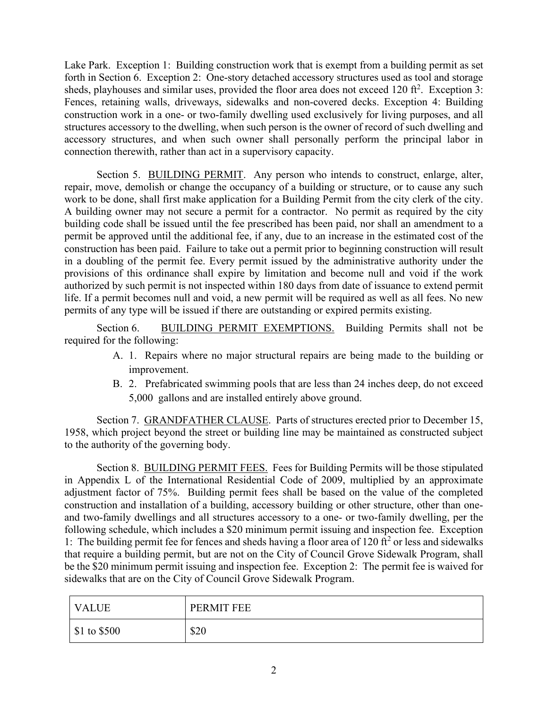Lake Park. Exception 1: Building construction work that is exempt from a building permit as set forth in Section 6. Exception 2: One-story detached accessory structures used as tool and storage sheds, playhouses and similar uses, provided the floor area does not exceed  $120 \text{ ft}^2$ . Exception 3: Fences, retaining walls, driveways, sidewalks and non-covered decks. Exception 4: Building construction work in a one- or two-family dwelling used exclusively for living purposes, and all structures accessory to the dwelling, when such person is the owner of record of such dwelling and accessory structures, and when such owner shall personally perform the principal labor in connection therewith, rather than act in a supervisory capacity.

Section 5. BUILDING PERMIT. Any person who intends to construct, enlarge, alter, repair, move, demolish or change the occupancy of a building or structure, or to cause any such work to be done, shall first make application for a Building Permit from the city clerk of the city. A building owner may not secure a permit for a contractor. No permit as required by the city building code shall be issued until the fee prescribed has been paid, nor shall an amendment to a permit be approved until the additional fee, if any, due to an increase in the estimated cost of the construction has been paid. Failure to take out a permit prior to beginning construction will result in a doubling of the permit fee. Every permit issued by the administrative authority under the provisions of this ordinance shall expire by limitation and become null and void if the work authorized by such permit is not inspected within 180 days from date of issuance to extend permit life. If a permit becomes null and void, a new permit will be required as well as all fees. No new permits of any type will be issued if there are outstanding or expired permits existing.

Section 6. BUILDING PERMIT EXEMPTIONS. Building Permits shall not be required for the following:

- A. 1. Repairs where no major structural repairs are being made to the building or improvement.
- B. 2. Prefabricated swimming pools that are less than 24 inches deep, do not exceed 5,000 gallons and are installed entirely above ground.

Section 7. GRANDFATHER CLAUSE. Parts of structures erected prior to December 15, 1958, which project beyond the street or building line may be maintained as constructed subject to the authority of the governing body.

Section 8. BUILDING PERMIT FEES. Fees for Building Permits will be those stipulated in Appendix L of the International Residential Code of 2009, multiplied by an approximate adjustment factor of 75%. Building permit fees shall be based on the value of the completed construction and installation of a building, accessory building or other structure, other than oneand two-family dwellings and all structures accessory to a one- or two-family dwelling, per the following schedule, which includes a \$20 minimum permit issuing and inspection fee. Exception 1: The building permit fee for fences and sheds having a floor area of 120  $\text{ft}^2$  or less and sidewalks that require a building permit, but are not on the City of Council Grove Sidewalk Program, shall be the \$20 minimum permit issuing and inspection fee. Exception 2: The permit fee is waived for sidewalks that are on the City of Council Grove Sidewalk Program.

| <b>VALUE</b>            | PERMIT FEE |
|-------------------------|------------|
| $\$\,1\text{ to } $500$ | \$20       |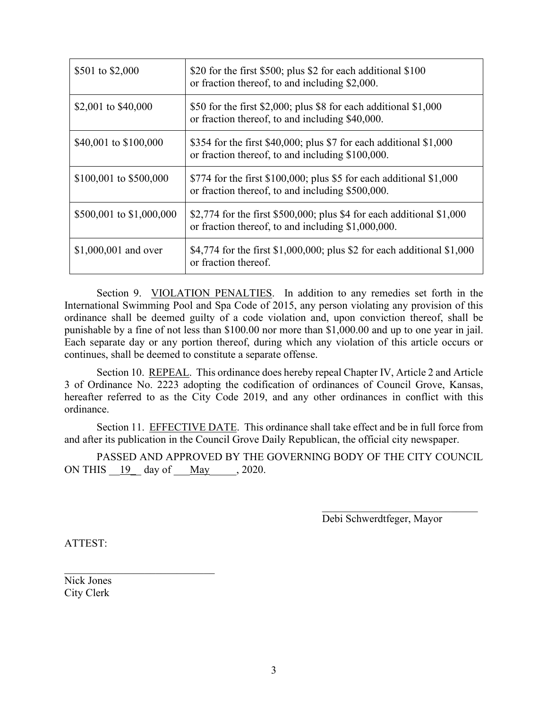| \$501 to \$2,000         | \$20 for the first \$500; plus \$2 for each additional \$100<br>or fraction thereof, to and including \$2,000.               |
|--------------------------|------------------------------------------------------------------------------------------------------------------------------|
| \$2,001 to \$40,000      | \$50 for the first \$2,000; plus \$8 for each additional $$1,000$<br>or fraction thereof, to and including \$40,000.         |
| \$40,001 to \$100,000    | \$354 for the first \$40,000; plus \$7 for each additional $$1,000$<br>or fraction thereof, to and including \$100,000.      |
| \$100,001 to \$500,000   | \$774 for the first \$100,000; plus \$5 for each additional $$1,000$<br>or fraction thereof, to and including \$500,000.     |
| \$500,001 to \$1,000,000 | \$2,774 for the first \$500,000; plus \$4 for each additional $$1,000$<br>or fraction thereof, to and including \$1,000,000. |
| $$1,000,001$ and over    | \$4,774 for the first \$1,000,000; plus \$2 for each additional \$1,000<br>or fraction thereof.                              |

Section 9. VIOLATION PENALTIES. In addition to any remedies set forth in the International Swimming Pool and Spa Code of 2015, any person violating any provision of this ordinance shall be deemed guilty of a code violation and, upon conviction thereof, shall be punishable by a fine of not less than \$100.00 nor more than \$1,000.00 and up to one year in jail. Each separate day or any portion thereof, during which any violation of this article occurs or continues, shall be deemed to constitute a separate offense.

Section 10. REPEAL. This ordinance does hereby repeal Chapter IV, Article 2 and Article 3 of Ordinance No. 2223 adopting the codification of ordinances of Council Grove, Kansas, hereafter referred to as the City Code 2019, and any other ordinances in conflict with this ordinance.

Section 11. EFFECTIVE DATE. This ordinance shall take effect and be in full force from and after its publication in the Council Grove Daily Republican, the official city newspaper.

PASSED AND APPROVED BY THE GOVERNING BODY OF THE CITY COUNCIL ON THIS  $19$  day of  $\text{May}$  , 2020.

Debi Schwerdtfeger, Mayor

ATTEST:

Nick Jones City Clerk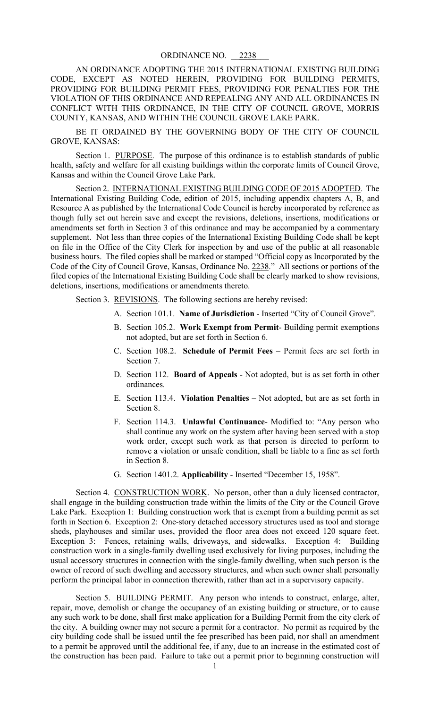AN ORDINANCE ADOPTING THE 2015 INTERNATIONAL EXISTING BUILDING CODE, EXCEPT AS NOTED HEREIN, PROVIDING FOR BUILDING PERMITS, PROVIDING FOR BUILDING PERMIT FEES, PROVIDING FOR PENALTIES FOR THE VIOLATION OF THIS ORDINANCE AND REPEALING ANY AND ALL ORDINANCES IN CONFLICT WITH THIS ORDINANCE, IN THE CITY OF COUNCIL GROVE, MORRIS COUNTY, KANSAS, AND WITHIN THE COUNCIL GROVE LAKE PARK.

BE IT ORDAINED BY THE GOVERNING BODY OF THE CITY OF COUNCIL GROVE, KANSAS:

Section 1. PURPOSE. The purpose of this ordinance is to establish standards of public health, safety and welfare for all existing buildings within the corporate limits of Council Grove, Kansas and within the Council Grove Lake Park.

Section 2. INTERNATIONAL EXISTING BUILDING CODE OF 2015 ADOPTED. The International Existing Building Code, edition of 2015, including appendix chapters A, B, and Resource A as published by the International Code Council is hereby incorporated by reference as though fully set out herein save and except the revisions, deletions, insertions, modifications or amendments set forth in Section 3 of this ordinance and may be accompanied by a commentary supplement. Not less than three copies of the International Existing Building Code shall be kept on file in the Office of the City Clerk for inspection by and use of the public at all reasonable business hours. The filed copies shall be marked or stamped "Official copy as Incorporated by the Code of the City of Council Grove, Kansas, Ordinance No. 2238." All sections or portions of the filed copies of the International Existing Building Code shall be clearly marked to show revisions, deletions, insertions, modifications or amendments thereto.

Section 3. REVISIONS. The following sections are hereby revised:

- A. Section 101.1. **Name of Jurisdiction** Inserted "City of Council Grove".
- B. Section 105.2. **Work Exempt from Permit** Building permit exemptions not adopted, but are set forth in Section 6.
- C. Section 108.2. **Schedule of Permit Fees** Permit fees are set forth in Section 7.
- D. Section 112. **Board of Appeals** Not adopted, but is as set forth in other ordinances.
- E. Section 113.4. **Violation Penalties** Not adopted, but are as set forth in Section 8.
- F. Section 114.3. **Unlawful Continuance** Modified to: "Any person who shall continue any work on the system after having been served with a stop work order, except such work as that person is directed to perform to remove a violation or unsafe condition, shall be liable to a fine as set forth in Section 8.
- G. Section 1401.2. **Applicability** Inserted "December 15, 1958".

Section 4. CONSTRUCTION WORK. No person, other than a duly licensed contractor, shall engage in the building construction trade within the limits of the City or the Council Grove Lake Park. Exception 1: Building construction work that is exempt from a building permit as set forth in Section 6. Exception 2: One-story detached accessory structures used as tool and storage sheds, playhouses and similar uses, provided the floor area does not exceed 120 square feet. Exception 3: Fences, retaining walls, driveways, and sidewalks. Exception 4: Building construction work in a single-family dwelling used exclusively for living purposes, including the usual accessory structures in connection with the single-family dwelling, when such person is the owner of record of such dwelling and accessory structures, and when such owner shall personally perform the principal labor in connection therewith, rather than act in a supervisory capacity.

Section 5. BUILDING PERMIT. Any person who intends to construct, enlarge, alter, repair, move, demolish or change the occupancy of an existing building or structure, or to cause any such work to be done, shall first make application for a Building Permit from the city clerk of the city. A building owner may not secure a permit for a contractor. No permit as required by the city building code shall be issued until the fee prescribed has been paid, nor shall an amendment to a permit be approved until the additional fee, if any, due to an increase in the estimated cost of the construction has been paid. Failure to take out a permit prior to beginning construction will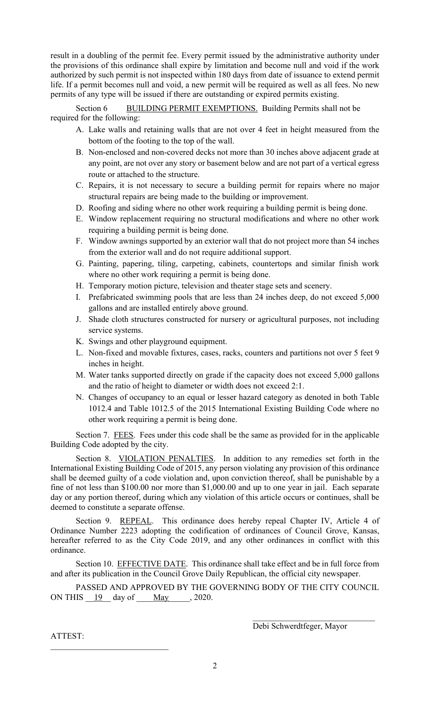result in a doubling of the permit fee. Every permit issued by the administrative authority under the provisions of this ordinance shall expire by limitation and become null and void if the work authorized by such permit is not inspected within 180 days from date of issuance to extend permit life. If a permit becomes null and void, a new permit will be required as well as all fees. No new permits of any type will be issued if there are outstanding or expired permits existing.

Section 6 BUILDING PERMIT EXEMPTIONS. Building Permits shall not be required for the following:

- A. Lake walls and retaining walls that are not over 4 feet in height measured from the bottom of the footing to the top of the wall.
- B. Non-enclosed and non-covered decks not more than 30 inches above adjacent grade at any point, are not over any story or basement below and are not part of a vertical egress route or attached to the structure.
- C. Repairs, it is not necessary to secure a building permit for repairs where no major structural repairs are being made to the building or improvement.
- D. Roofing and siding where no other work requiring a building permit is being done.
- E. Window replacement requiring no structural modifications and where no other work requiring a building permit is being done.
- F. Window awnings supported by an exterior wall that do not project more than 54 inches from the exterior wall and do not require additional support.
- G. Painting, papering, tiling, carpeting, cabinets, countertops and similar finish work where no other work requiring a permit is being done.
- H. Temporary motion picture, television and theater stage sets and scenery.
- I. Prefabricated swimming pools that are less than 24 inches deep, do not exceed 5,000 gallons and are installed entirely above ground.
- J. Shade cloth structures constructed for nursery or agricultural purposes, not including service systems.
- K. Swings and other playground equipment.
- L. Non-fixed and movable fixtures, cases, racks, counters and partitions not over 5 feet 9 inches in height.
- M. Water tanks supported directly on grade if the capacity does not exceed 5,000 gallons and the ratio of height to diameter or width does not exceed 2:1.
- N. Changes of occupancy to an equal or lesser hazard category as denoted in both Table 1012.4 and Table 1012.5 of the 2015 International Existing Building Code where no other work requiring a permit is being done.

Section 7. FEES. Fees under this code shall be the same as provided for in the applicable Building Code adopted by the city.

Section 8. VIOLATION PENALTIES. In addition to any remedies set forth in the International Existing Building Code of 2015, any person violating any provision of this ordinance shall be deemed guilty of a code violation and, upon conviction thereof, shall be punishable by a fine of not less than \$100.00 nor more than \$1,000.00 and up to one year in jail. Each separate day or any portion thereof, during which any violation of this article occurs or continues, shall be deemed to constitute a separate offense.

Section 9. REPEAL. This ordinance does hereby repeal Chapter IV, Article 4 of Ordinance Number 2223 adopting the codification of ordinances of Council Grove, Kansas, hereafter referred to as the City Code 2019, and any other ordinances in conflict with this ordinance.

Section 10. EFFECTIVE DATE. This ordinance shall take effect and be in full force from and after its publication in the Council Grove Daily Republican, the official city newspaper.

PASSED AND APPROVED BY THE GOVERNING BODY OF THE CITY COUNCIL ON THIS  $\underline{\underline{19}}$  day of  $\underline{\underline{May}}$ , 2020.

Debi Schwerdtfeger, Mayor

ATTEST: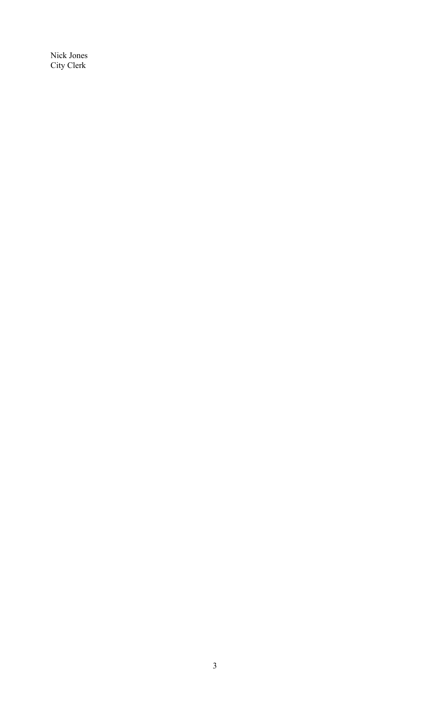Nick Jones City Clerk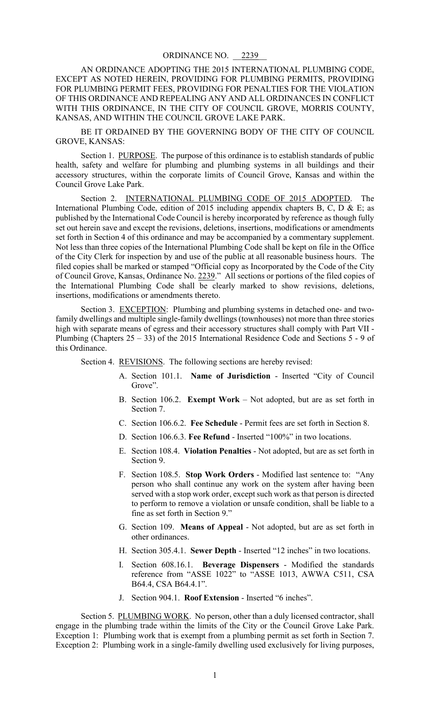AN ORDINANCE ADOPTING THE 2015 INTERNATIONAL PLUMBING CODE, EXCEPT AS NOTED HEREIN, PROVIDING FOR PLUMBING PERMITS, PROVIDING FOR PLUMBING PERMIT FEES, PROVIDING FOR PENALTIES FOR THE VIOLATION OF THIS ORDINANCE AND REPEALING ANY AND ALL ORDINANCES IN CONFLICT WITH THIS ORDINANCE, IN THE CITY OF COUNCIL GROVE, MORRIS COUNTY, KANSAS, AND WITHIN THE COUNCIL GROVE LAKE PARK.

BE IT ORDAINED BY THE GOVERNING BODY OF THE CITY OF COUNCIL GROVE, KANSAS:

Section 1. PURPOSE. The purpose of this ordinance is to establish standards of public health, safety and welfare for plumbing and plumbing systems in all buildings and their accessory structures, within the corporate limits of Council Grove, Kansas and within the Council Grove Lake Park.

Section 2. INTERNATIONAL PLUMBING CODE OF 2015 ADOPTED. The International Plumbing Code, edition of 2015 including appendix chapters B, C, D & E; as published by the International Code Council is hereby incorporated by reference as though fully set out herein save and except the revisions, deletions, insertions, modifications or amendments set forth in Section 4 of this ordinance and may be accompanied by a commentary supplement. Not less than three copies of the International Plumbing Code shall be kept on file in the Office of the City Clerk for inspection by and use of the public at all reasonable business hours. The filed copies shall be marked or stamped "Official copy as Incorporated by the Code of the City of Council Grove, Kansas, Ordinance No. 2239." All sections or portions of the filed copies of the International Plumbing Code shall be clearly marked to show revisions, deletions, insertions, modifications or amendments thereto.

Section 3. EXCEPTION: Plumbing and plumbing systems in detached one- and twofamily dwellings and multiple single-family dwellings (townhouses) not more than three stories high with separate means of egress and their accessory structures shall comply with Part VII - Plumbing (Chapters  $25 - 33$ ) of the 2015 International Residence Code and Sections 5 - 9 of this Ordinance.

Section 4. REVISIONS. The following sections are hereby revised:

- A. Section 101.1. **Name of Jurisdiction** Inserted "City of Council Grove".
- B. Section 106.2. **Exempt Work** Not adopted, but are as set forth in Section 7.
- C. Section 106.6.2. **Fee Schedule** Permit fees are set forth in Section 8.
- D. Section 106.6.3. **Fee Refund** Inserted "100%" in two locations.
- E. Section 108.4. **Violation Penalties** Not adopted, but are as set forth in Section 9.
- F. Section 108.5. **Stop Work Orders** Modified last sentence to: "Any person who shall continue any work on the system after having been served with a stop work order, except such work as that person is directed to perform to remove a violation or unsafe condition, shall be liable to a fine as set forth in Section 9."
- G. Section 109. **Means of Appeal** Not adopted, but are as set forth in other ordinances.
- H. Section 305.4.1. **Sewer Depth** Inserted "12 inches" in two locations.
- I. Section 608.16.1. **Beverage Dispensers** Modified the standards reference from "ASSE 1022" to "ASSE 1013, AWWA C511, CSA B64.4, CSA B64.4.1".
- J. Section 904.1. **Roof Extension** Inserted "6 inches".

Section 5. PLUMBING WORK. No person, other than a duly licensed contractor, shall engage in the plumbing trade within the limits of the City or the Council Grove Lake Park. Exception 1: Plumbing work that is exempt from a plumbing permit as set forth in Section 7. Exception 2: Plumbing work in a single-family dwelling used exclusively for living purposes,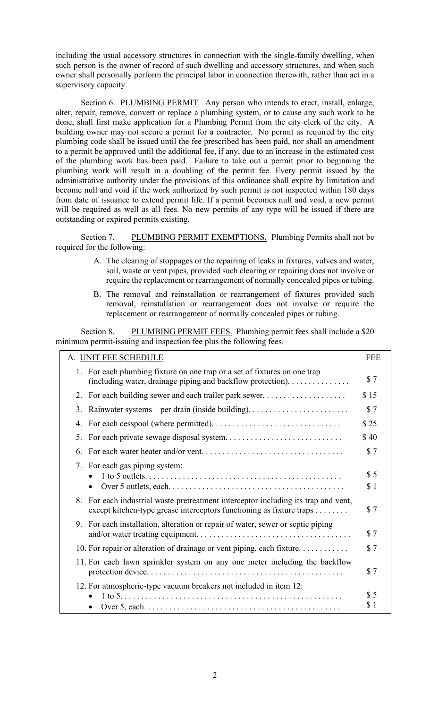including the usual accessory structures in connection with the single-family dwelling, when such person is the owner of record of such dwelling and accessory structures, and when such owner shall personally perform the principal labor in connection therewith, rather than act in a supervisory capacity.

Section 6. PLUMBING PERMIT. Any person who intends to erect, install, enlarge, alter, repair, remove, convert or replace a plumbing system, or to cause any such work to be done, shall first make application for a Plumbing Permit from the city clerk of the city. A building owner may not secure a permit for a contractor. No permit as required by the city plumbing code shall be issued until the fee prescribed has been paid, nor shall an amendment to a permit be approved until the additional fee, if any, due to an increase in the estimated cost of the plumbing work has been paid. Failure to take out a permit prior to beginning the plumbing work will result in a doubling of the permit fee. Every permit issued by the administrative authority under the provisions of this ordinance shall expire by limitation and become null and void if the work authorized by such permit is not inspected within 180 days from date of issuance to extend permit life. If a permit becomes null and void, a new permit will be required as well as all fees. No new permits of any type will be issued if there are outstanding or expired permits existing.

Section 7. PLUMBING PERMIT EXEMPTIONS. Plumbing Permits shall not be required for the following:

- A. The clearing of stoppages or the repairing of leaks in fixtures, valves and water, soil, waste or vent pipes, provided such clearing or repairing does not involve or require the replacement or rearrangement of normally concealed pipes or tubing.
- B. The removal and reinstallation or rearrangement of fixtures provided such removal, reinstallation or rearrangement does not involve or require the replacement or rearrangement of normally concealed pipes or tubing.

Section 8. PLUMBING PERMIT FEES. Plumbing permit fees shall include a \$20 minimum permit-issuing and inspection fee plus the following fees.

| A. UNIT FEE SCHEDULE                                                                                                                                          | <b>FEE</b> |
|---------------------------------------------------------------------------------------------------------------------------------------------------------------|------------|
| 1. For each plumbing fixture on one trap or a set of fixtures on one trap<br>(including water, drainage piping and backflow protection).                      | \$7        |
| For each building sewer and each trailer park sewer<br>2.                                                                                                     | \$15       |
| 3.                                                                                                                                                            | \$7        |
| 4.                                                                                                                                                            | \$25       |
| 5.                                                                                                                                                            | \$40       |
| 6.                                                                                                                                                            | \$7        |
| 7. For each gas piping system:<br>$\bullet$                                                                                                                   | \$5<br>\$1 |
| For each industrial waste pretreatment interceptor including its trap and vent,<br>8.<br>except kitchen-type grease interceptors functioning as fixture traps | \$7        |
| 9. For each installation, alteration or repair of water, sewer or septic piping                                                                               | \$7        |
| 10. For repair or alteration of drainage or vent piping, each fixture                                                                                         | \$7        |
| 11. For each lawn sprinkler system on any one meter including the backflow                                                                                    | \$7        |
| 12. For atmospheric-type vacuum breakers not included in item 12:                                                                                             | \$5<br>\$1 |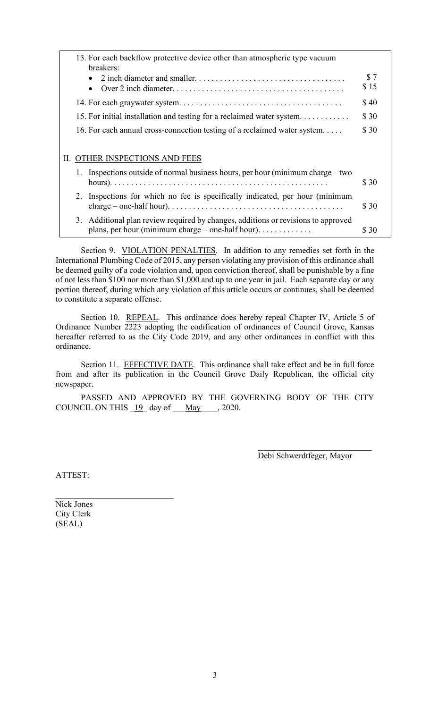|    | 13. For each backflow protective device other than atmospheric type vacuum<br>breakers:                                                                    |             |
|----|------------------------------------------------------------------------------------------------------------------------------------------------------------|-------------|
|    |                                                                                                                                                            | \$7<br>\$15 |
|    |                                                                                                                                                            | \$40        |
|    | 15. For initial installation and testing for a reclaimed water system                                                                                      | \$30        |
|    | 16. For each annual cross-connection testing of a reclaimed water system                                                                                   | \$30        |
|    | II. OTHER INSPECTIONS AND FEES                                                                                                                             |             |
|    | Inspections outside of normal business hours, per hour (minimum charge – two                                                                               | \$ 30       |
| 2. | Inspections for which no fee is specifically indicated, per hour (minimum                                                                                  | \$30        |
|    | 3. Additional plan review required by changes, additions or revisions to approved<br>plans, per hour (minimum charge – one-half hour). $\dots \dots \dots$ | \$ 30       |

Section 9. VIOLATION PENALTIES. In addition to any remedies set forth in the International Plumbing Code of 2015, any person violating any provision of this ordinance shall be deemed guilty of a code violation and, upon conviction thereof, shall be punishable by a fine of not less than \$100 nor more than \$1,000 and up to one year in jail. Each separate day or any portion thereof, during which any violation of this article occurs or continues, shall be deemed to constitute a separate offense.

Section 10. REPEAL. This ordinance does hereby repeal Chapter IV, Article 5 of Ordinance Number 2223 adopting the codification of ordinances of Council Grove, Kansas hereafter referred to as the City Code 2019, and any other ordinances in conflict with this ordinance.

Section 11. EFFECTIVE DATE. This ordinance shall take effect and be in full force from and after its publication in the Council Grove Daily Republican, the official city newspaper.

PASSED AND APPROVED BY THE GOVERNING BODY OF THE CITY COUNCIL ON THIS  $19$  day of May , 2020.

Debi Schwerdtfeger, Mayor

 $\mathcal{L}_\text{max}$  , where  $\mathcal{L}_\text{max}$  and  $\mathcal{L}_\text{max}$ 

ATTEST:

Nick Jones City Clerk (SEAL)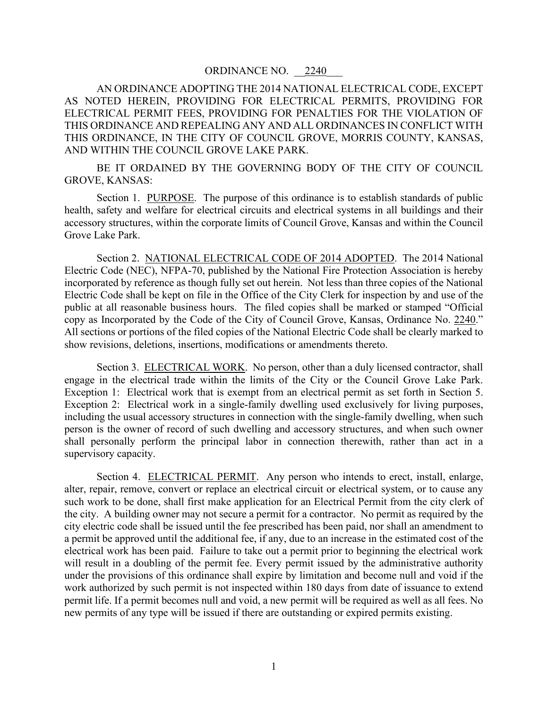AN ORDINANCE ADOPTING THE 2014 NATIONAL ELECTRICAL CODE, EXCEPT AS NOTED HEREIN, PROVIDING FOR ELECTRICAL PERMITS, PROVIDING FOR ELECTRICAL PERMIT FEES, PROVIDING FOR PENALTIES FOR THE VIOLATION OF THIS ORDINANCE AND REPEALING ANY AND ALL ORDINANCES IN CONFLICT WITH THIS ORDINANCE, IN THE CITY OF COUNCIL GROVE, MORRIS COUNTY, KANSAS, AND WITHIN THE COUNCIL GROVE LAKE PARK.

BE IT ORDAINED BY THE GOVERNING BODY OF THE CITY OF COUNCIL GROVE, KANSAS:

Section 1. PURPOSE. The purpose of this ordinance is to establish standards of public health, safety and welfare for electrical circuits and electrical systems in all buildings and their accessory structures, within the corporate limits of Council Grove, Kansas and within the Council Grove Lake Park.

Section 2. NATIONAL ELECTRICAL CODE OF 2014 ADOPTED. The 2014 National Electric Code (NEC), NFPA-70, published by the National Fire Protection Association is hereby incorporated by reference as though fully set out herein. Not less than three copies of the National Electric Code shall be kept on file in the Office of the City Clerk for inspection by and use of the public at all reasonable business hours. The filed copies shall be marked or stamped "Official copy as Incorporated by the Code of the City of Council Grove, Kansas, Ordinance No. 2240." All sections or portions of the filed copies of the National Electric Code shall be clearly marked to show revisions, deletions, insertions, modifications or amendments thereto.

Section 3. ELECTRICAL WORK. No person, other than a duly licensed contractor, shall engage in the electrical trade within the limits of the City or the Council Grove Lake Park. Exception 1: Electrical work that is exempt from an electrical permit as set forth in Section 5. Exception 2: Electrical work in a single-family dwelling used exclusively for living purposes, including the usual accessory structures in connection with the single-family dwelling, when such person is the owner of record of such dwelling and accessory structures, and when such owner shall personally perform the principal labor in connection therewith, rather than act in a supervisory capacity.

Section 4. ELECTRICAL PERMIT. Any person who intends to erect, install, enlarge, alter, repair, remove, convert or replace an electrical circuit or electrical system, or to cause any such work to be done, shall first make application for an Electrical Permit from the city clerk of the city. A building owner may not secure a permit for a contractor. No permit as required by the city electric code shall be issued until the fee prescribed has been paid, nor shall an amendment to a permit be approved until the additional fee, if any, due to an increase in the estimated cost of the electrical work has been paid. Failure to take out a permit prior to beginning the electrical work will result in a doubling of the permit fee. Every permit issued by the administrative authority under the provisions of this ordinance shall expire by limitation and become null and void if the work authorized by such permit is not inspected within 180 days from date of issuance to extend permit life. If a permit becomes null and void, a new permit will be required as well as all fees. No new permits of any type will be issued if there are outstanding or expired permits existing.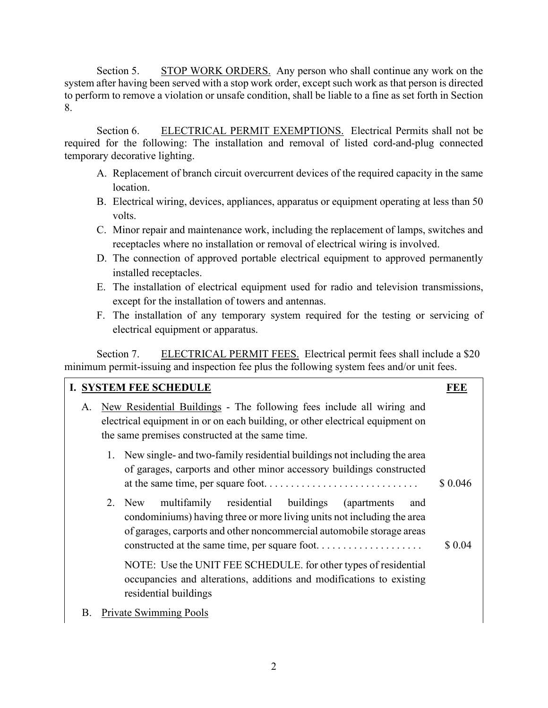Section 5. STOP WORK ORDERS. Any person who shall continue any work on the system after having been served with a stop work order, except such work as that person is directed to perform to remove a violation or unsafe condition, shall be liable to a fine as set forth in Section 8.

Section 6. ELECTRICAL PERMIT EXEMPTIONS. Electrical Permits shall not be required for the following: The installation and removal of listed cord-and-plug connected temporary decorative lighting.

- A. Replacement of branch circuit overcurrent devices of the required capacity in the same location.
- B. Electrical wiring, devices, appliances, apparatus or equipment operating at less than 50 volts.
- C. Minor repair and maintenance work, including the replacement of lamps, switches and receptacles where no installation or removal of electrical wiring is involved.
- D. The connection of approved portable electrical equipment to approved permanently installed receptacles.
- E. The installation of electrical equipment used for radio and television transmissions, except for the installation of towers and antennas.
- F. The installation of any temporary system required for the testing or servicing of electrical equipment or apparatus.

Section 7. ELECTRICAL PERMIT FEES. Electrical permit fees shall include a \$20 minimum permit-issuing and inspection fee plus the following system fees and/or unit fees.

|                                                                                                                                                                                                                 |  | I. SYSTEM FEE SCHEDULE                                                                                                                                                                                     | FEE           |
|-----------------------------------------------------------------------------------------------------------------------------------------------------------------------------------------------------------------|--|------------------------------------------------------------------------------------------------------------------------------------------------------------------------------------------------------------|---------------|
| New Residential Buildings - The following fees include all wiring and<br>A.<br>electrical equipment in or on each building, or other electrical equipment on<br>the same premises constructed at the same time. |  |                                                                                                                                                                                                            |               |
| 1. New single- and two-family residential buildings not including the area<br>of garages, carports and other minor accessory buildings constructed                                                              |  |                                                                                                                                                                                                            | \$0.046       |
|                                                                                                                                                                                                                 |  | multifamily residential buildings (apartments<br>2. New<br>condominiums) having three or more living units not including the area<br>of garages, carports and other noncommercial automobile storage areas | and<br>\$0.04 |
|                                                                                                                                                                                                                 |  | NOTE: Use the UNIT FEE SCHEDULE. for other types of residential<br>occupancies and alterations, additions and modifications to existing<br>residential buildings                                           |               |
| В.                                                                                                                                                                                                              |  | Private Swimming Pools                                                                                                                                                                                     |               |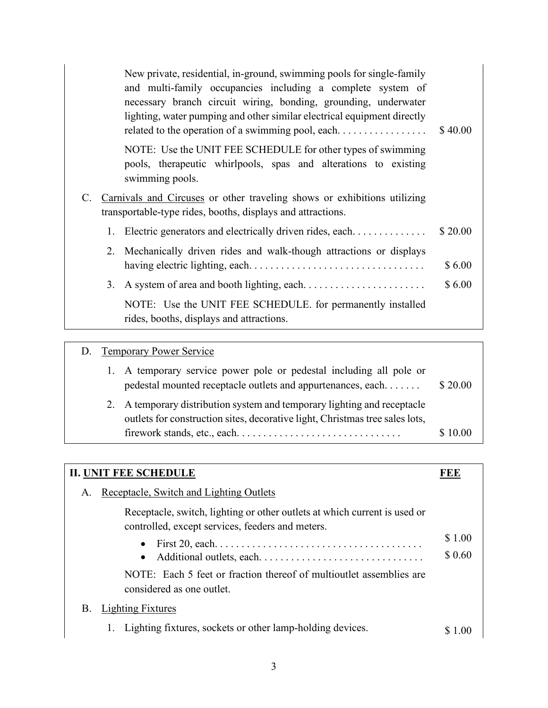|             | New private, residential, in-ground, swimming pools for single-family<br>and multi-family occupancies including a complete system of<br>necessary branch circuit wiring, bonding, grounding, underwater<br>lighting, water pumping and other similar electrical equipment directly | \$40.00 |
|-------------|------------------------------------------------------------------------------------------------------------------------------------------------------------------------------------------------------------------------------------------------------------------------------------|---------|
|             | NOTE: Use the UNIT FEE SCHEDULE for other types of swimming<br>pools, therapeutic whirlpools, spas and alterations to existing<br>swimming pools.                                                                                                                                  |         |
| $C_{\cdot}$ | Carnivals and Circuses or other traveling shows or exhibitions utilizing<br>transportable-type rides, booths, displays and attractions.                                                                                                                                            |         |
|             | 1. Electric generators and electrically driven rides, each                                                                                                                                                                                                                         | \$20.00 |
|             | 2. Mechanically driven rides and walk-though attractions or displays                                                                                                                                                                                                               | \$6.00  |
| 3.          |                                                                                                                                                                                                                                                                                    | \$6.00  |
|             | NOTE: Use the UNIT FEE SCHEDULE. for permanently installed<br>rides, booths, displays and attractions.                                                                                                                                                                             |         |

# D. Temporary Power Service

| 1. A temporary service power pole or pedestal including all pole or<br>pedestal mounted receptacle outlets and appurtenances, each                       | \$20.00 |
|----------------------------------------------------------------------------------------------------------------------------------------------------------|---------|
| 2. A temporary distribution system and temporary lighting and receptacle<br>outlets for construction sites, decorative light, Christmas tree sales lots, |         |
| $firework stands, etc., each. \ldots \ldots \ldots \ldots \ldots \ldots \ldots \ldots$                                                                   | \$10.00 |

| <b>II. UNIT FEE SCHEDULE</b>                                                                                                  |                  |  |
|-------------------------------------------------------------------------------------------------------------------------------|------------------|--|
| Receptacle, Switch and Lighting Outlets<br>А.                                                                                 |                  |  |
| Receptacle, switch, lighting or other outlets at which current is used or<br>controlled, except services, feeders and meters. |                  |  |
| First 20, each. $\dots \dots \dots \dots \dots \dots \dots \dots \dots \dots \dots \dots \dots \dots$<br>$\bullet$            | \$1.00<br>\$0.60 |  |
| NOTE: Each 5 feet or fraction thereof of multioutlet assemblies are<br>considered as one outlet.                              |                  |  |
| <b>Lighting Fixtures</b><br>В.                                                                                                |                  |  |
| Lighting fixtures, sockets or other lamp-holding devices.                                                                     |                  |  |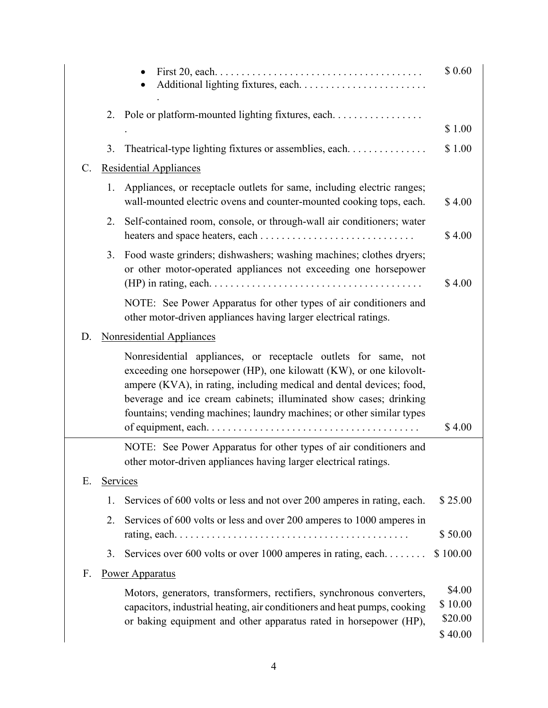|    |          |                                                                                                                                                                                                                                                                                                                                                            | \$ 0.60                                 |
|----|----------|------------------------------------------------------------------------------------------------------------------------------------------------------------------------------------------------------------------------------------------------------------------------------------------------------------------------------------------------------------|-----------------------------------------|
|    | 2.       | Pole or platform-mounted lighting fixtures, each.                                                                                                                                                                                                                                                                                                          | \$1.00                                  |
|    | 3.       | Theatrical-type lighting fixtures or assemblies, each                                                                                                                                                                                                                                                                                                      | \$1.00                                  |
| C. |          | <b>Residential Appliances</b>                                                                                                                                                                                                                                                                                                                              |                                         |
|    | 1.       | Appliances, or receptacle outlets for same, including electric ranges;<br>wall-mounted electric ovens and counter-mounted cooking tops, each.                                                                                                                                                                                                              | \$4.00                                  |
|    | 2.       | Self-contained room, console, or through-wall air conditioners; water                                                                                                                                                                                                                                                                                      | \$4.00                                  |
|    | 3.       | Food waste grinders; dishwashers; washing machines; clothes dryers;<br>or other motor-operated appliances not exceeding one horsepower                                                                                                                                                                                                                     | \$4.00                                  |
|    |          | NOTE: See Power Apparatus for other types of air conditioners and<br>other motor-driven appliances having larger electrical ratings.                                                                                                                                                                                                                       |                                         |
| D. |          | <b>Nonresidential Appliances</b>                                                                                                                                                                                                                                                                                                                           |                                         |
|    |          | Nonresidential appliances, or receptacle outlets for same, not<br>exceeding one horsepower (HP), one kilowatt (KW), or one kilovolt-<br>ampere (KVA), in rating, including medical and dental devices; food,<br>beverage and ice cream cabinets; illuminated show cases; drinking<br>fountains; vending machines; laundry machines; or other similar types | \$4.00                                  |
|    |          | NOTE: See Power Apparatus for other types of air conditioners and                                                                                                                                                                                                                                                                                          |                                         |
|    |          | other motor-driven appliances having larger electrical ratings.                                                                                                                                                                                                                                                                                            |                                         |
| Ε. | Services |                                                                                                                                                                                                                                                                                                                                                            |                                         |
|    | 1.       | Services of 600 volts or less and not over 200 amperes in rating, each.                                                                                                                                                                                                                                                                                    | \$25.00                                 |
|    | 2.       | Services of 600 volts or less and over 200 amperes to 1000 amperes in                                                                                                                                                                                                                                                                                      | \$50.00                                 |
|    | 3.       | Services over 600 volts or over 1000 amperes in rating, each                                                                                                                                                                                                                                                                                               | \$100.00                                |
| F. |          | <b>Power Apparatus</b>                                                                                                                                                                                                                                                                                                                                     |                                         |
|    |          | Motors, generators, transformers, rectifiers, synchronous converters,<br>capacitors, industrial heating, air conditioners and heat pumps, cooking<br>or baking equipment and other apparatus rated in horsepower (HP),                                                                                                                                     | \$4.00<br>\$10.00<br>\$20.00<br>\$40.00 |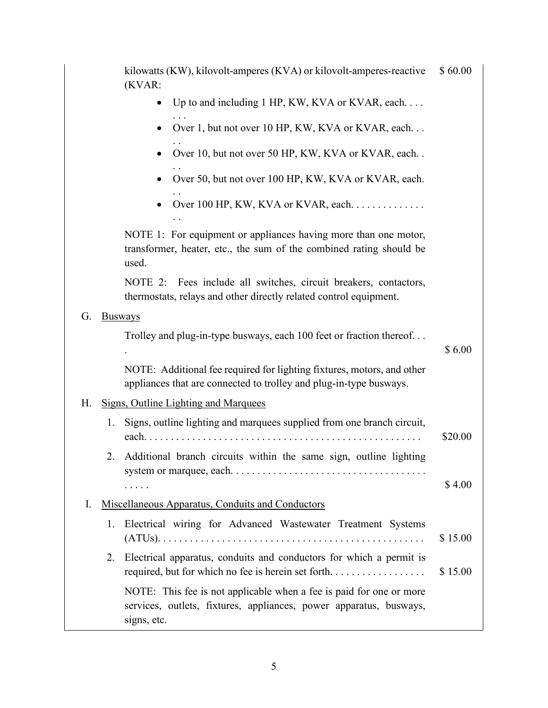|    | kilowatts (KW), kilovolt-amperes (KVA) or kilovolt-amperes-reactive<br>(KVAR:                                                                            | \$60.00 |
|----|----------------------------------------------------------------------------------------------------------------------------------------------------------|---------|
|    | Up to and including 1 HP, KW, KVA or KVAR, each                                                                                                          |         |
|    | Over 1, but not over 10 HP, KW, KVA or KVAR, each                                                                                                        |         |
|    | Over 10, but not over 50 HP, KW, KVA or KVAR, each                                                                                                       |         |
|    | Over 50, but not over 100 HP, KW, KVA or KVAR, each.                                                                                                     |         |
|    | Over 100 HP, KW, KVA or KVAR, each.<br>$\ddot{\phantom{0}}$                                                                                              |         |
|    | NOTE 1: For equipment or appliances having more than one motor,<br>transformer, heater, etc., the sum of the combined rating should be<br>used.          |         |
|    | NOTE 2: Fees include all switches, circuit breakers, contactors,<br>thermostats, relays and other directly related control equipment.                    |         |
| G. | <b>Busways</b>                                                                                                                                           |         |
|    | Trolley and plug-in-type busways, each 100 feet or fraction thereof                                                                                      | \$6.00  |
|    | NOTE: Additional fee required for lighting fixtures, motors, and other<br>appliances that are connected to trolley and plug-in-type busways.             |         |
| Η. | <b>Signs, Outline Lighting and Marquees</b>                                                                                                              |         |
| 1. | Signs, outline lighting and marquees supplied from one branch circuit,<br>each                                                                           | \$20.00 |
|    | Additional branch circuits within the same sign, outline lighting                                                                                        |         |
|    | .                                                                                                                                                        | \$4.00  |
| I. | Miscellaneous Apparatus, Conduits and Conductors                                                                                                         |         |
| 1. | Electrical wiring for Advanced Wastewater Treatment Systems                                                                                              | \$15.00 |
| 2. | Electrical apparatus, conduits and conductors for which a permit is<br>required, but for which no fee is herein set forth                                | \$15.00 |
|    | NOTE: This fee is not applicable when a fee is paid for one or more<br>services, outlets, fixtures, appliances, power apparatus, busways,<br>signs, etc. |         |